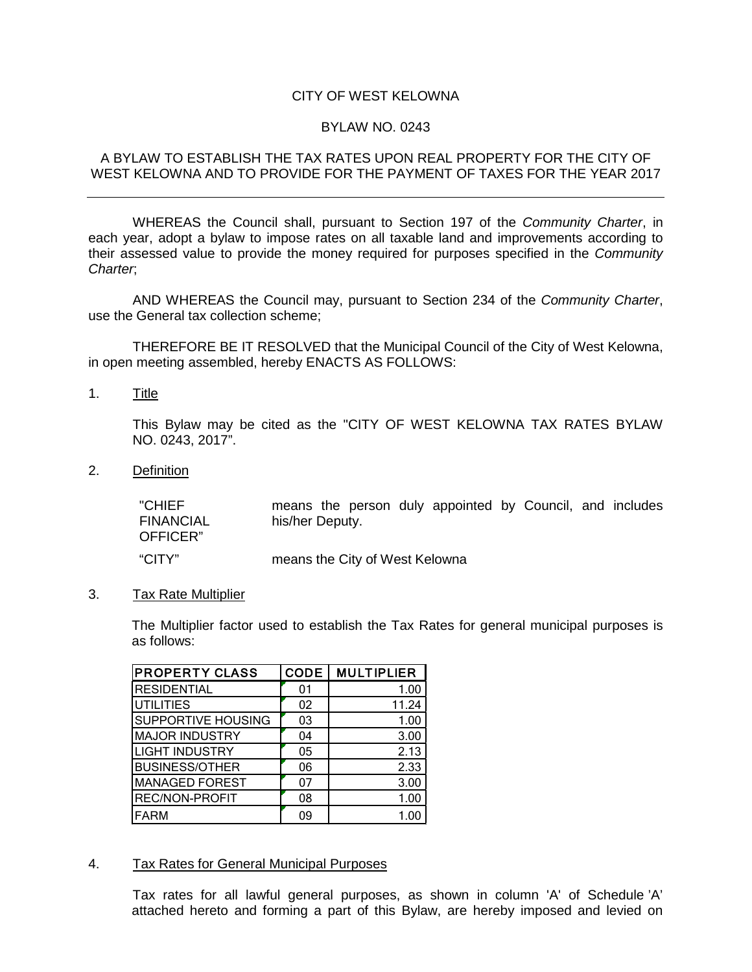# CITY OF WEST KELOWNA

### BYLAW NO. 0243

### A BYLAW TO ESTABLISH THE TAX RATES UPON REAL PROPERTY FOR THE CITY OF WEST KELOWNA AND TO PROVIDE FOR THE PAYMENT OF TAXES FOR THE YEAR 2017

WHEREAS the Council shall, pursuant to Section 197 of the *Community Charter*, in each year, adopt a bylaw to impose rates on all taxable land and improvements according to their assessed value to provide the money required for purposes specified in the *Community Charter*;

AND WHEREAS the Council may, pursuant to Section 234 of the *Community Charter*, use the General tax collection scheme;

THEREFORE BE IT RESOLVED that the Municipal Council of the City of West Kelowna, in open meeting assembled, hereby ENACTS AS FOLLOWS:

1. Title

This Bylaw may be cited as the "CITY OF WEST KELOWNA TAX RATES BYLAW NO. 0243, 2017".

2. Definition

"CHIEF FINANCIAL OFFICER" means the person duly appointed by Council, and includes his/her Deputy. "CITY" means the City of West Kelowna

3. Tax Rate Multiplier

The Multiplier factor used to establish the Tax Rates for general municipal purposes is as follows:

| <b>PROPERTY CLASS</b>     | <b>CODE</b> | <b>MULTIPLIER</b> |
|---------------------------|-------------|-------------------|
| <b>RESIDENTIAL</b>        | 01          | 1.00              |
| <b>UTILITIES</b>          | 02          | 11.24             |
| <b>SUPPORTIVE HOUSING</b> | 03          | 1.00              |
| <b>MAJOR INDUSTRY</b>     | 04          | 3.00              |
| <b>LIGHT INDUSTRY</b>     | 05          | 2.13              |
| <b>BUSINESS/OTHER</b>     | 06          | 2.33              |
| <b>MANAGED FOREST</b>     | 07          | 3.00              |
| REC/NON-PROFIT            | 08          | 1.00              |
| <b>FARM</b>               | 09          | 1.00              |

#### 4. Tax Rates for General Municipal Purposes

Tax rates for all lawful general purposes, as shown in column 'A' of Schedule 'A' attached hereto and forming a part of this Bylaw, are hereby imposed and levied on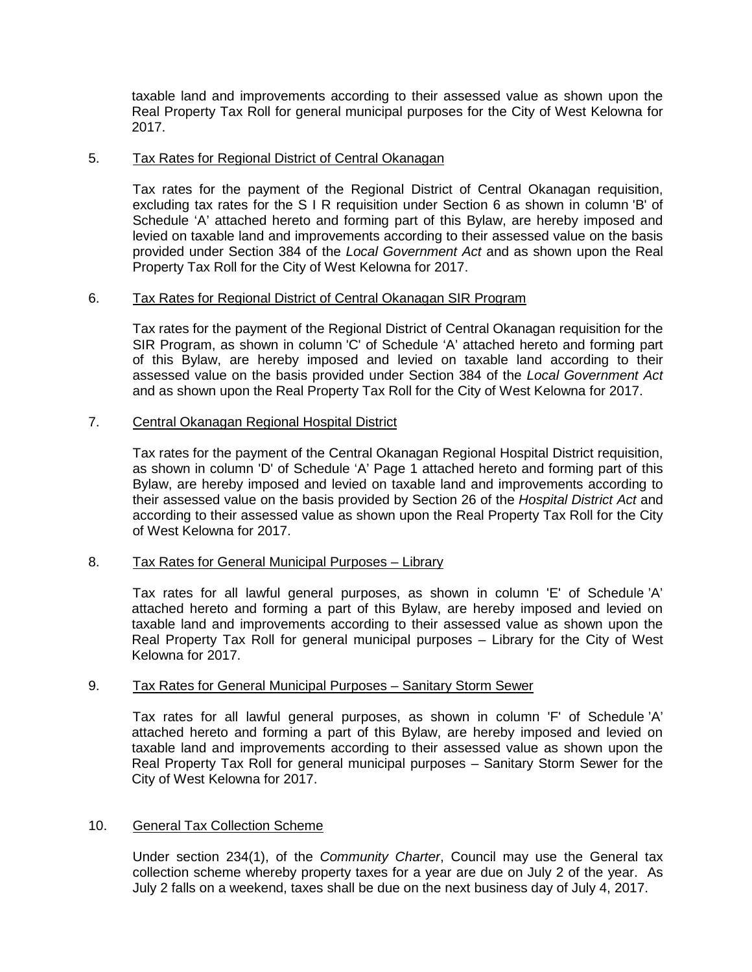taxable land and improvements according to their assessed value as shown upon the Real Property Tax Roll for general municipal purposes for the City of West Kelowna for 2017.

# 5. Tax Rates for Regional District of Central Okanagan

Tax rates for the payment of the Regional District of Central Okanagan requisition, excluding tax rates for the S I R requisition under Section 6 as shown in column 'B' of Schedule 'A' attached hereto and forming part of this Bylaw, are hereby imposed and levied on taxable land and improvements according to their assessed value on the basis provided under Section 384 of the *Local Government Act* and as shown upon the Real Property Tax Roll for the City of West Kelowna for 2017.

# 6. Tax Rates for Regional District of Central Okanagan SIR Program

Tax rates for the payment of the Regional District of Central Okanagan requisition for the SIR Program, as shown in column 'C' of Schedule 'A' attached hereto and forming part of this Bylaw, are hereby imposed and levied on taxable land according to their assessed value on the basis provided under Section 384 of the *Local Government Act* and as shown upon the Real Property Tax Roll for the City of West Kelowna for 2017.

# 7. Central Okanagan Regional Hospital District

Tax rates for the payment of the Central Okanagan Regional Hospital District requisition, as shown in column 'D' of Schedule 'A' Page 1 attached hereto and forming part of this Bylaw, are hereby imposed and levied on taxable land and improvements according to their assessed value on the basis provided by Section 26 of the *Hospital District Act* and according to their assessed value as shown upon the Real Property Tax Roll for the City of West Kelowna for 2017.

#### 8. Tax Rates for General Municipal Purposes – Library

Tax rates for all lawful general purposes, as shown in column 'E' of Schedule 'A' attached hereto and forming a part of this Bylaw, are hereby imposed and levied on taxable land and improvements according to their assessed value as shown upon the Real Property Tax Roll for general municipal purposes – Library for the City of West Kelowna for 2017.

#### 9. Tax Rates for General Municipal Purposes – Sanitary Storm Sewer

Tax rates for all lawful general purposes, as shown in column 'F' of Schedule 'A' attached hereto and forming a part of this Bylaw, are hereby imposed and levied on taxable land and improvements according to their assessed value as shown upon the Real Property Tax Roll for general municipal purposes – Sanitary Storm Sewer for the City of West Kelowna for 2017.

#### 10. General Tax Collection Scheme

Under section 234(1), of the *Community Charter*, Council may use the General tax collection scheme whereby property taxes for a year are due on July 2 of the year. As July 2 falls on a weekend, taxes shall be due on the next business day of July 4, 2017.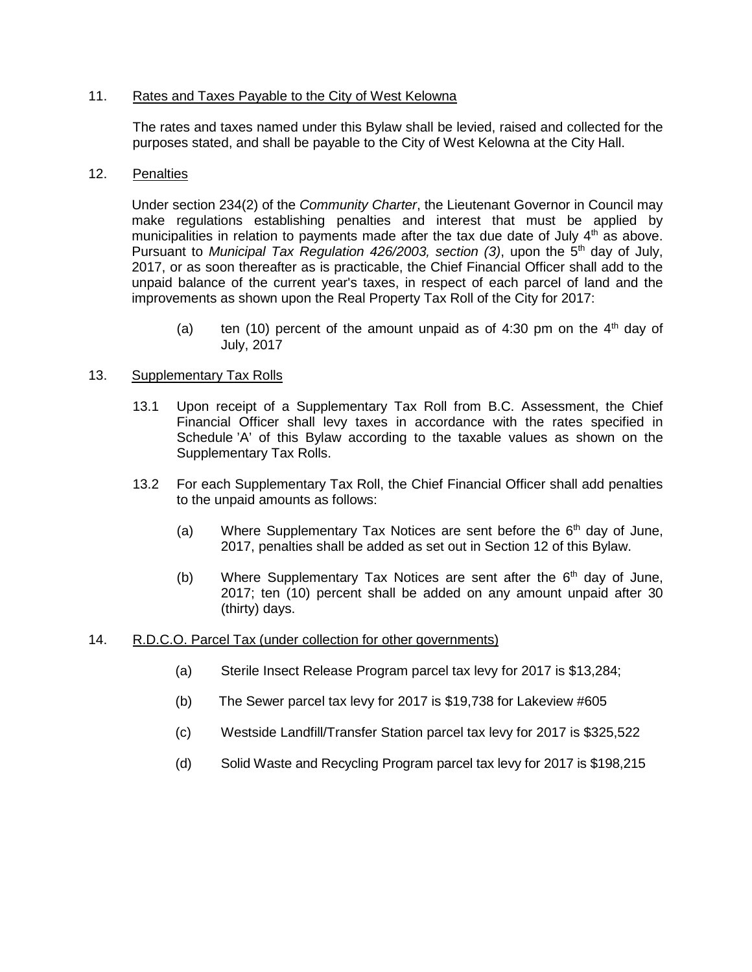# 11. Rates and Taxes Payable to the City of West Kelowna

The rates and taxes named under this Bylaw shall be levied, raised and collected for the purposes stated, and shall be payable to the City of West Kelowna at the City Hall.

#### 12. Penalties

Under section 234(2) of the *Community Charter*, the Lieutenant Governor in Council may make regulations establishing penalties and interest that must be applied by municipalities in relation to payments made after the tax due date of July  $4<sup>th</sup>$  as above. Pursuant to *Municipal Tax Regulation 426/2003*, section (3), upon the 5<sup>th</sup> day of July, 2017, or as soon thereafter as is practicable, the Chief Financial Officer shall add to the unpaid balance of the current year's taxes, in respect of each parcel of land and the improvements as shown upon the Real Property Tax Roll of the City for 2017:

(a) ten (10) percent of the amount unpaid as of 4:30 pm on the  $4<sup>th</sup>$  day of July, 2017

# 13. Supplementary Tax Rolls

- 13.1 Upon receipt of a Supplementary Tax Roll from B.C. Assessment, the Chief Financial Officer shall levy taxes in accordance with the rates specified in Schedule 'A' of this Bylaw according to the taxable values as shown on the Supplementary Tax Rolls.
- 13.2 For each Supplementary Tax Roll, the Chief Financial Officer shall add penalties to the unpaid amounts as follows:
	- (a) Where Supplementary Tax Notices are sent before the  $6<sup>th</sup>$  day of June, 2017, penalties shall be added as set out in Section 12 of this Bylaw.
	- (b) Where Supplementary Tax Notices are sent after the  $6<sup>th</sup>$  day of June, 2017; ten (10) percent shall be added on any amount unpaid after 30 (thirty) days.

#### 14. R.D.C.O. Parcel Tax (under collection for other governments)

- (a) Sterile Insect Release Program parcel tax levy for 2017 is \$13,284;
- (b) The Sewer parcel tax levy for 2017 is \$19,738 for Lakeview #605
- (c) Westside Landfill/Transfer Station parcel tax levy for 2017 is \$325,522
- (d) Solid Waste and Recycling Program parcel tax levy for 2017 is \$198,215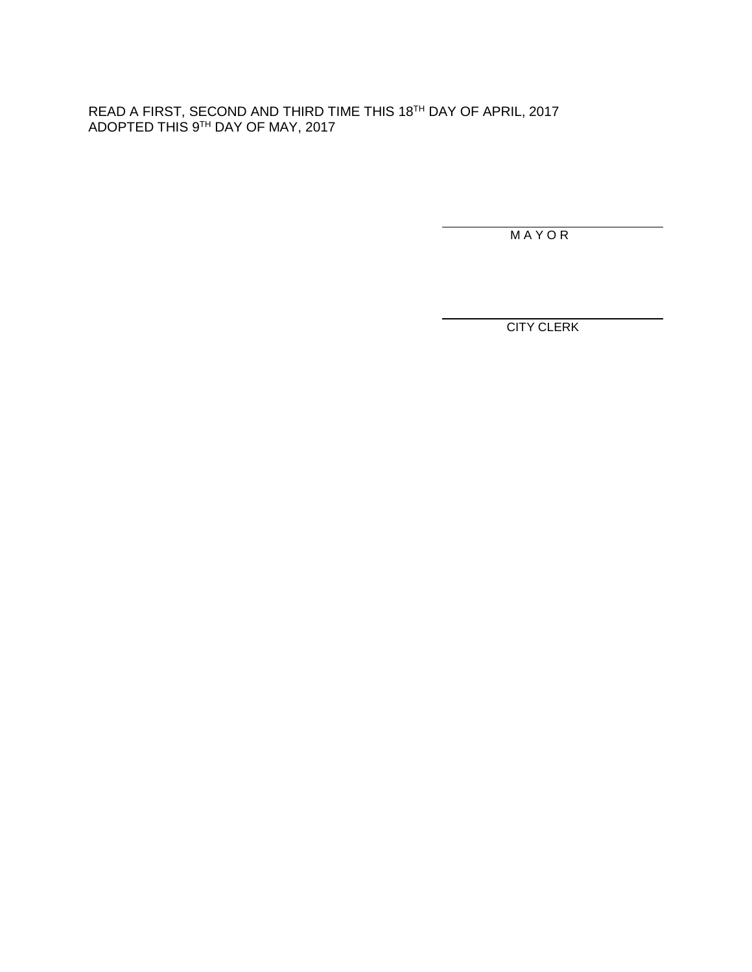READ A FIRST, SECOND AND THIRD TIME THIS 18TH DAY OF APRIL, 2017 ADOPTED THIS 9TH DAY OF MAY, 2017

M A Y O R

CITY CLERK